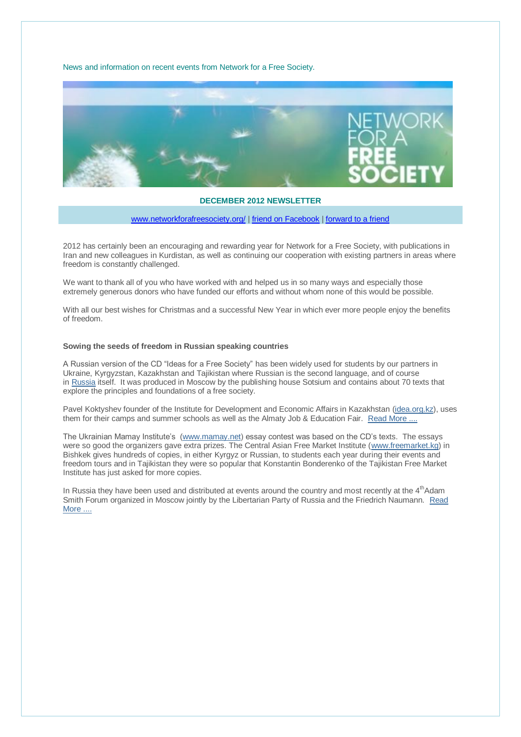News and information on recent events from Network for a Free Society.



### **DECEMBER 2012 NEWSLETTER**

[www.networkforafreesociety.org/](http://www.networkforafreesociety.org/) | friend on Facebook | [forward to a friend](http://us6.forward-to-friend2.com/forward?u=a9097c21dbf4b971a3ab947cf&id=00eb169663&e=ef092df931)

2012 has certainly been an encouraging and rewarding year for Network for a Free Society, with publications in Iran and new colleagues in Kurdistan, as well as continuing our cooperation with existing partners in areas where freedom is constantly challenged.

We want to thank all of you who have worked with and helped us in so many ways and especially those extremely generous donors who have funded our efforts and without whom none of this would be possible.

With all our best wishes for Christmas and a successful New Year in which ever more people enjoy the benefits of freedom.

### **Sowing the seeds of freedom in Russian speaking countries**

A Russian version of the CD "Ideas for a Free Society" has been widely used for students by our partners in Ukraine, Kyrgyzstan, Kazakhstan and Tajikistan where Russian is the second language, and of course in [Russia](http://networkforafreesociety.us6.list-manage.com/track/click?u=a9097c21dbf4b971a3ab947cf&id=44afb99ffa&e=f99aceffb3) itself. It was produced in Moscow by the publishing house Sotsium and contains about 70 texts that explore the principles and foundations of a free society.

Pavel Koktyshev founder of the Institute for Development and Economic Affairs in Kazakhstan [\(idea.org.kz\)](http://networkforafreesociety.us6.list-manage2.com/track/click?u=a9097c21dbf4b971a3ab947cf&id=3ed8c09a42&e=f99aceffb3), uses them for their camps and summer schools as well as the Almaty Job & Education Fair. [Read More ....](http://networkforafreesociety.us6.list-manage.com/track/click?u=a9097c21dbf4b971a3ab947cf&id=6c01ac6bdc&e=f99aceffb3)

The Ukrainian Mamay Institute's [\(www.mamay.net\)](http://networkforafreesociety.us6.list-manage.com/track/click?u=a9097c21dbf4b971a3ab947cf&id=0654af2698&e=f99aceffb3) essay contest was based on the CD's texts. The essays were so good the organizers gave extra prizes. The Central Asian Free Market Institute [\(www.freemarket.kg\)](http://www.freemarket.kg/) in Bishkek gives hundreds of copies, in either Kyrgyz or Russian, to students each year during their events and freedom tours and in Tajikistan they were so popular that Konstantin Bonderenko of the Tajikistan Free Market Institute has just asked for more copies.

In Russia they have been used and distributed at events around the country and most recently at the 4<sup>th</sup>Adam Smith Forum organized in Moscow jointly by the Libertarian Party of Russia and the Friedrich Naumann. [Read](http://networkforafreesociety.us6.list-manage2.com/track/click?u=a9097c21dbf4b971a3ab947cf&id=e9f85edaa1&e=f99aceffb3)  [More ....](http://networkforafreesociety.us6.list-manage2.com/track/click?u=a9097c21dbf4b971a3ab947cf&id=e9f85edaa1&e=f99aceffb3)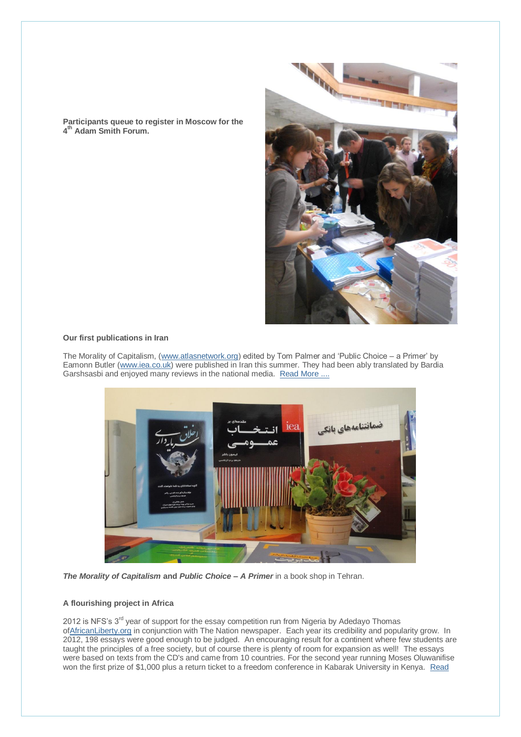**Participants queue to register in Moscow for the 4 th Adam Smith Forum.**



### **Our first publications in Iran**

The Morality of Capitalism, [\(www.atlasnetwork.org\)](http://networkforafreesociety.us6.list-manage.com/track/click?u=a9097c21dbf4b971a3ab947cf&id=00a1da3e1c&e=f99aceffb3) edited by Tom Palmer and 'Public Choice – a Primer' by Eamonn Butler [\(www.iea.co.uk\)](http://networkforafreesociety.us6.list-manage.com/track/click?u=a9097c21dbf4b971a3ab947cf&id=7bfcd7ddff&e=f99aceffb3) were published in Iran this summer. They had been ably translated by Bardia Garshsasbi and enjoyed many reviews in the national media. [Read More ....](http://networkforafreesociety.us6.list-manage2.com/track/click?u=a9097c21dbf4b971a3ab947cf&id=8678fc9ad6&e=f99aceffb3)



*The Morality of Capitalism* **and** *Public Choice – A Primer* in a book shop in Tehran.

# **A flourishing project in Africa**

2012 is NFS's  $3<sup>rd</sup>$  year of support for the essay competition run from Nigeria by Adedayo Thomas [ofAfricanLiberty.org](http://africanliberty.org/) in conjunction with The Nation newspaper. Each year its credibility and popularity grow. In 2012, 198 essays were good enough to be judged. An encouraging result for a continent where few students are taught the principles of a free society, but of course there is plenty of room for expansion as well! The essays were based on texts from the CD's and came from 10 countries. For the second year running Moses Oluwanifise won the first prize of \$1,000 plus a return ticket to a freedom conference in Kabarak University in Kenya. Read